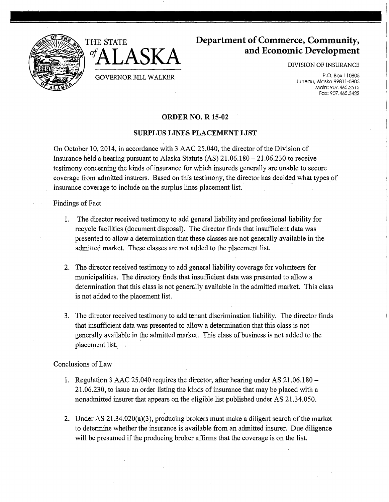



# **Department of Commerce, Community, and Economic Development**

DIVISION OF INSURANCE

P.O. Box 110805 Juneau, Alaska 99811-0805 Main: 907.465.2515 Fax: 907.465.3422

# ORDER NO. R 15-02

## SURPLUS LINES PLACEMENT LIST

On October 10, 2014, in accordance with 3 AAC 25.040, the director of the Division of Insurance held a hearing pursuant to Alaska Statute (AS) 21.06.180 - 21.06.230 to receive testimony concerning the kinds of insurance for which insureds generally are unable to secure coverage from admitted insurers. Based on this testimony, the director has decided what types of insurance coverage to include on the surplus lines placement list. <sup>~</sup>

### Findings of Fact

- 1. The director received testimony to add general liability and professional liability for recycle facilities (document disposal). The director finds that insufficient data was presented to allow a determination that these classes are not generally available in the admitted market. These classes are not added to the placement list.
- 2. The director received testimony to add general liability coverage for volunteers for municipalities. The directory finds that insufficient data was presented to allow a determination that this class is not generally available in the admitted market. This class is not added to the placement list.
- 3. The director received testimony to add tenant discrimination liability. The director finds that insufficient data was presented to allow a determination that this class is not generally available in the admitted market. This class of business is not added to the placement list.

### Conclusions of Law

- 1. Regulation 3 AAC 25.040 requires the director, after hearing under AS 21.06.180 21.06.230, to issue an order listing the kinds of insurance that may be placed with a nonadmitted insurer that appears on the eligible list published under AS 21.34.050.
- 2. Under AS 21.34.020(a)(3), producing brokers must make a diligent search of the market to determine whether the insurance is available from an admitted insurer. Due diligence will be presumed if the producing broker affirms that the coverage is on the list.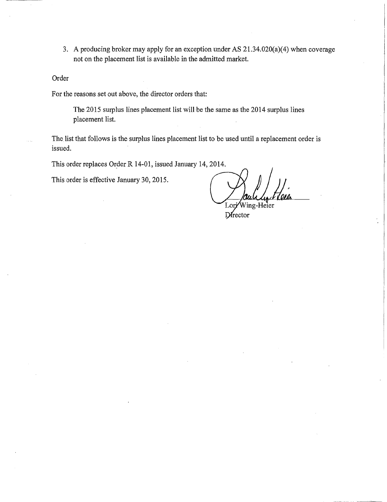3. A producing broker may apply for an exception under AS 21.34.020(a)(4) when coverage not on the placement list is available in the admitted market.

Order

For the reasons set out above, the director orders that:

The 2015 surplus lines placement list will be the same as the 2014 surplus lines placement list.

The list that follows is the surplus lines placement list to be used until a replacement order is issued.

This order replaces Order R 14-01, issued January 14, 2014.

This order is effective January 30, 2015.

Wing-Heier Lori

 $D$ rector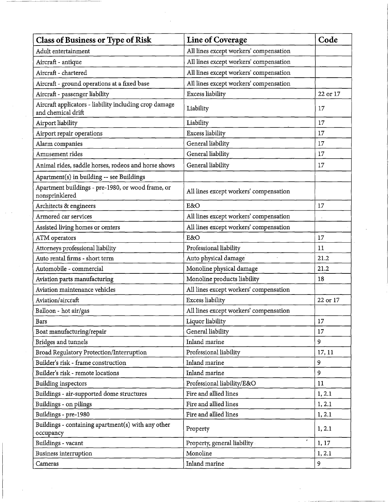| <b>Class of Business or Type of Risk</b>                                     | <b>Line of Coverage</b>                | Code     |
|------------------------------------------------------------------------------|----------------------------------------|----------|
| Adult entertainment                                                          | All lines except workers' compensation |          |
| Aircraft - antique                                                           | All lines except workers' compensation |          |
| Aircraft - chartered                                                         | All lines except workers' compensation |          |
| Aircraft - ground operations at a fixed base                                 | All lines except workers' compensation |          |
| Aircraft - passenger liability                                               | <b>Excess liability</b>                | 22 or 17 |
| Aircraft applicators - liability including crop damage<br>and chemical drift | Liability                              | 17       |
| Airport liability                                                            | Liability                              | 17       |
| Airport repair operations                                                    | Excess liability                       | 17       |
| Alarm companies                                                              | General liability                      | 17       |
| Amusement rides                                                              | General liability                      | 17       |
| Animal rides, saddle horses, rodeos and horse shows                          | General liability                      | 17       |
| Apartment(s) in building -- see Buildings                                    |                                        |          |
| Apartment buildings - pre-1980, or wood frame, or<br>nonsprinklered          | All lines except workers' compensation |          |
| Architects & engineers                                                       | E&O                                    | 17       |
| Armored car services                                                         | All lines except workers' compensation |          |
| Assisted living homes or centers                                             | All lines except workers' compensation |          |
| ATM operators                                                                | E&O                                    | 17       |
| Attorneys professional liability                                             | Professional liability                 | 11       |
| Auto rental firms - short term                                               | Auto physical damage                   | 21.2     |
| Automobile - commercial                                                      | Monoline physical damage               | 21.2     |
| Aviation parts manufacturing                                                 | Monoline products liability            | 18       |
| Aviation maintenance vehicles                                                | All lines except workers' compensation |          |
| Aviation/aircraft                                                            | <b>Excess liability</b>                | 22 or 17 |
| Balloon - hot air/gas                                                        | All lines except workers' compensation |          |
| <b>Bars</b>                                                                  | Liquor liability                       | 17       |
| Boat manufacturing/repair                                                    | General liability                      | 17       |
| Bridges and tunnels                                                          | Inland marine                          | 9        |
| Broad Regulatory Protection/Interruption                                     | Professional liability                 | 17, 11   |
| Builder's risk - frame construction                                          | Inland marine                          | 9        |
| Builder's risk - remote locations                                            | Inland marine                          | 9        |
| <b>Building inspectors</b>                                                   | Professional liability/E&O             | 11       |
| Buildings - air-supported dome structures                                    | Fire and allied lines                  | 1, 2.1   |
| Buildings - on pilings                                                       | Fire and allied lines                  | 1, 2.1   |
| Buildings - pre-1980                                                         | Fire and allied lines                  | 1, 2.1   |
| Buildings - containing apartment(s) with any other<br>occupancy              | Property                               | 1, 2.1   |
| Buildings - vacant                                                           | Property, general liability            | 1, 17    |
| Business interruption                                                        | Monoline                               | 1, 2.1   |
| Cameras                                                                      | Inland marine                          | 9        |

 $\label{eq:2.1} \frac{1}{2} \int_{\mathbb{R}^3} \left| \frac{d\mu}{d\mu} \right|^2 \, d\mu = \frac{1}{2} \int_{\mathbb{R}^3} \left| \frac{d\mu}{d\mu} \right|^2 \, d\mu = \frac{1}{2} \int_{\mathbb{R}^3} \left| \frac{d\mu}{d\mu} \right|^2 \, d\mu.$ 

 $\frac{d}{dt} \sum_{i=1}^{n} \frac{d}{dt} \left( \frac{d}{dt} \right)^2 \left( \frac{d}{dt} \right)^2$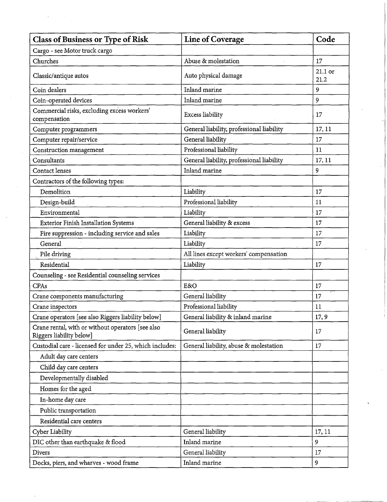| <b>Class of Business or Type of Risk</b>                                      | <b>Line of Coverage</b>                   | Code              |
|-------------------------------------------------------------------------------|-------------------------------------------|-------------------|
| Cargo - see Motor truck cargo                                                 |                                           |                   |
| Churches                                                                      | Abuse & molestation                       | 17                |
| Classic/antique autos                                                         | Auto physical damage                      | $21.1$ or<br>21.2 |
| Coin dealers                                                                  | Inland marine                             | 9                 |
| Coin-operated devices                                                         | Inland marine                             | 9                 |
| Commercial risks, excluding excess workers'<br>compensation                   | Excess liability                          | 17                |
| Computer programmers                                                          | General liability, professional liability | 17, 11            |
| Computer repair/service                                                       | General liability                         | 17                |
| Construction management                                                       | Professional liability                    | 11                |
| Consultants                                                                   | General liability, professional liability | 17, 11            |
| Contact lenses                                                                | Inland marine                             | 9                 |
| Contractors of the following types:                                           |                                           |                   |
| Demolition                                                                    | Liability                                 | 17                |
| Design-build                                                                  | Professional liability                    | 11                |
| Environmental                                                                 | Liability                                 | 17                |
| <b>Exterior Finish Installation Systems</b>                                   | General liability & excess                | 17                |
| Fire suppression - including service and sales                                | Liability                                 | 17                |
| General                                                                       | Liability                                 | 17                |
| Pile driving                                                                  | All lines except workers' compensation    |                   |
| Residential                                                                   | Liability                                 | 17                |
| Counseling - see Residential counseling services                              |                                           |                   |
| CPAs                                                                          | E&O                                       | 17                |
| Crane components manufacturing                                                | General liability                         | 17                |
| Crane inspectors                                                              | Professional liability                    | 11                |
| Crane operators [see also Riggers liability below]                            | General liability & inland marine         | 17, 9             |
| Crane rental, with or without operators [see also<br>Riggers liability below] | General liability                         | 17                |
| Custodial care - licensed for under 25, which includes:                       | General liability, abuse & molestation    | 17                |
| Adult day care centers                                                        |                                           |                   |
| Child day care centers                                                        |                                           |                   |
| Developmentally disabled                                                      |                                           |                   |
| Homes for the aged                                                            |                                           |                   |
| In-home day care                                                              |                                           |                   |
| Public transportation                                                         |                                           |                   |
| Residential care centers                                                      |                                           |                   |
| Cyber Liability                                                               | General liability                         | 17, 11            |
| DIC other than earthquake & flood                                             | Inland marine                             | 9                 |
| <b>Divers</b>                                                                 | General liability                         | 17                |
| Docks, piers, and wharves - wood frame                                        | Inland marine                             | 9                 |

 $\ddot{\phantom{0}}$ 

 $\Delta \phi = 0.001$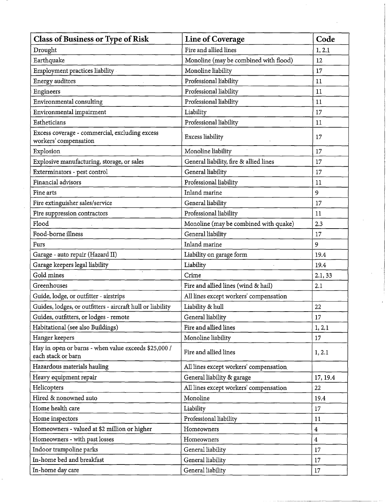| <b>Class of Business or Type of Risk</b>                                   | <b>Line of Coverage</b>                | Code                    |
|----------------------------------------------------------------------------|----------------------------------------|-------------------------|
| Drought                                                                    | Fire and allied lines                  | 1, 2.1                  |
| Earthquake                                                                 | Monoline (may be combined with flood)  | 12                      |
| Employment practices liability                                             | Monoline liability                     | 17                      |
| Energy auditors                                                            | Professional liability                 | 11                      |
| Engineers                                                                  | Professional liability                 | 11                      |
| Environmental consulting                                                   | Professional liability                 | 11                      |
| Environmental impairment                                                   | Liability                              | 17                      |
| Estheticians                                                               | Professional liability                 | 11                      |
| Excess coverage - commercial, excluding excess<br>workers' compensation    | Excess liability                       | 17                      |
| Explosion                                                                  | Monoline liability                     | 17                      |
| Explosive manufacturing, storage, or sales                                 | General liability, fire & allied lines | 17                      |
| Exterminators - pest control                                               | General liability                      | 17                      |
| Financial advisors                                                         | Professional liability                 | 11                      |
| Fine arts                                                                  | Inland marine                          | 9                       |
| Fire extinguisher sales/service                                            | General liability                      | 17                      |
| Fire suppression contractors                                               | Professional liability                 | 11                      |
| Flood                                                                      | Monoline (may be combined with quake)  | 2.3                     |
| Food-borne illness                                                         | General liability                      | 17                      |
| Furs                                                                       | Inland marine                          | 9                       |
| Garage - auto repair (Hazard II)                                           | Liability on garage form               | 19.4                    |
| Garage keepers legal liability                                             | Liability                              | 19.4                    |
| Gold mines                                                                 | Crime                                  | 2.1, 33                 |
| Greenhouses                                                                | Fire and allied lines (wind & hail)    | 2.1                     |
| Guide, lodge, or outfitter - airstrips                                     | All lines except workers' compensation |                         |
| Guides, lodges, or outfitters - aircraft hull or liability                 | Liability & hull                       | 22                      |
| Guides, outfitters, or lodges - remote                                     | General liability                      | 17                      |
| Habitational (see also Buildings)                                          | Fire and allied lines                  | 1, 2.1                  |
| Hanger keepers                                                             | Monoline liability                     | 17                      |
| Hay in open or barns - when value exceeds \$25,000 /<br>each stack or barn | Fire and allied lines                  | 1, 2.1                  |
| Hazardous materials hauling                                                | All lines except workers' compensation |                         |
| Heavy equipment repair                                                     | General liability & garage             | 17, 19.4                |
| Helicopters                                                                | All lines except workers' compensation | 22                      |
| Hired & nonowned auto                                                      | Monoline                               | 19.4                    |
| Home health care                                                           | Liability                              | 17                      |
| Home inspectors                                                            | Professional liability                 | 11                      |
| Homeowners - valued at \$2 million or higher                               | Homeowners                             | $\overline{\mathbf{4}}$ |
| Homeowners - with past losses                                              | Homeowners                             | $\overline{4}$          |
| Indoor trampoline parks                                                    | General liability                      | 17                      |
| In-home bed and breakfast                                                  | General liability                      | 17                      |
| In-home day care                                                           | General liability                      | 17                      |

 $\mathcal{L}^{\text{max}}_{\text{max}}$ 

 $\label{eq:2} \frac{1}{2} \int_{\mathbb{R}^3} \left| \frac{d\mathbf{x}}{d\mathbf{x}} \right|^2 \, d\mathbf{x} \, d\mathbf{x} \, d\mathbf{x} \, d\mathbf{x} \, d\mathbf{x} \, d\mathbf{x} \, d\mathbf{x} \, d\mathbf{x} \, d\mathbf{x} \, d\mathbf{x} \, d\mathbf{x} \, d\mathbf{x} \, d\mathbf{x} \, d\mathbf{x} \, d\mathbf{x} \, d\mathbf{x} \, d\mathbf{x} \, d\mathbf{x} \, d\mathbf{x} \, d\mathbf{x} \, d\mathbf{x} \, d$ 

 $\frac{1}{\sqrt{2}}\left( \frac{1}{\sqrt{2}}\right) ^{2}$ 

 $\frac{1}{2}$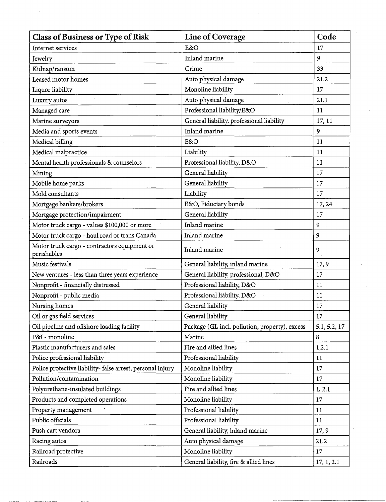| <b>Class of Business or Type of Risk</b>                    | Line of Coverage                               | Code         |
|-------------------------------------------------------------|------------------------------------------------|--------------|
| Internet services                                           | E&O                                            | 17           |
| Jewelry                                                     | Inland marine                                  | 9            |
| Kidnap/ransom                                               | Crime                                          | 33           |
| Leased motor homes                                          | Auto physical damage                           | 21.2         |
| Liquor liability                                            | Monoline liability                             | 17           |
| Luxury autos                                                | Auto physical damage                           | 21.1         |
| Managed care                                                | Professional liability/E&O                     | 11           |
| Marine surveyors                                            | General liability, professional liability      | 17, 11       |
| Media and sports events                                     | Inland marine                                  | 9            |
| Medical billing                                             | E&O                                            | 11           |
| Medical malpractice                                         | Liability                                      | 11           |
| Mental health professionals & counselors                    | Professional liability, D&O                    | 11           |
| Mining                                                      | General liability                              | 17           |
| Mobile home parks                                           | General liability                              | 17           |
| Mold consultants                                            | Liability                                      | 17           |
| Mortgage bankers/brokers                                    | E&O, Fiduciary bonds                           | 17, 24       |
| Mortgage protection/impairment                              | General liability                              | 17           |
| Motor truck cargo - values \$100,000 or more                | Inland marine                                  | 9            |
| Motor truck cargo - haul road or trans Canada               | Inland marine                                  | 9            |
| Motor truck cargo - contractors equipment or<br>perishables | Inland marine                                  | 9            |
| Music festivals                                             | General liability, inland marine               | 17, 9        |
| New ventures - less than three years experience             | General liability, professional, D&O           | 17           |
| Nonprofit - financially distressed                          | Professional liability, D&O                    | 11           |
| Nonprofit - public media                                    | Professional liability, D&O                    | 11           |
| Nursing homes                                               | General liability                              | 17           |
| Oil or gas field services                                   | General liability                              | 17           |
| Oil pipeline and offshore loading facility                  | Package (GL incl. pollution, property), excess | 5.1, 5.2, 17 |
| P&I - monoline                                              | Marine                                         | 8            |
| Plastic manufacturers and sales                             | Fire and allied lines                          | 1,2.1        |
| Police professional liability                               | Professional liability                         | 11           |
| Police protective liability- false arrest, personal injury  | Monoline liability                             | 17           |
| Pollution/contamination                                     | Monoline liability                             | 17           |
| Polyurethane-insulated buildings                            | Fire and allied lines                          | 1, 2.1       |
| Products and completed operations                           | Monoline liability                             | 17           |
| Property management                                         | Professional liability                         | 11           |
| Public officials                                            | Professional liability                         | 11           |
| Push cart vendors                                           | General liability, inland marine               | 17, 9        |
| Racing autos                                                | Auto physical damage                           | 21.2         |
| Railroad protective                                         | Monoline liability                             | 17           |
| Railroads                                                   | General liability, fire & allied lines         | 17, 1, 2.1   |

 $\hat{\vec{r}}$ 

 $\mathcal{L}^{(1)}$  and  $\mathcal{L}^{(2)}$ 

 $\mathcal{L}_{\mathcal{A}}$ 

--- -- ---- --------------------------~-

 $\mathcal{A}_{\mathcal{A}}$